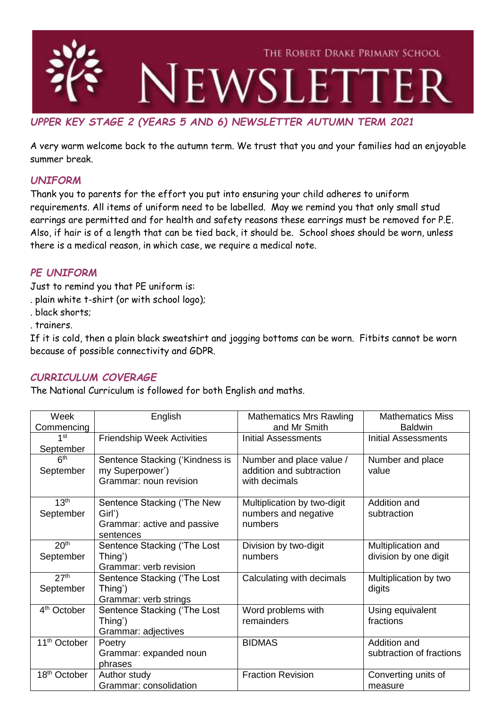

# *UPPER KEY STAGE 2 (YEARS 5 AND 6) NEWSLETTER AUTUMN TERM 2021*

A very warm welcome back to the autumn term. We trust that you and your families had an enjoyable summer break.

## *UNIFORM*

Thank you to parents for the effort you put into ensuring your child adheres to uniform requirements. All items of uniform need to be labelled. May we remind you that only small stud earrings are permitted and for health and safety reasons these earrings must be removed for P.E. Also, if hair is of a length that can be tied back, it should be. School shoes should be worn, unless there is a medical reason, in which case, we require a medical note.

### *PE UNIFORM*

Just to remind you that PE uniform is:

- . plain white t-shirt (or with school logo);
- . black shorts;

. trainers.

If it is cold, then a plain black sweatshirt and jogging bottoms can be worn. Fitbits cannot be worn because of possible connectivity and GDPR.

### *CURRICULUM COVERAGE*

The National Curriculum is followed for both English and maths.

| Week<br>Commencing            | English                                                                           | <b>Mathematics Mrs Rawling</b><br>and Mr Smith                        | <b>Mathematics Miss</b><br><b>Baldwin</b>   |
|-------------------------------|-----------------------------------------------------------------------------------|-----------------------------------------------------------------------|---------------------------------------------|
| 1st<br>September              | <b>Friendship Week Activities</b>                                                 | <b>Initial Assessments</b>                                            | <b>Initial Assessments</b>                  |
| 6 <sup>th</sup><br>September  | Sentence Stacking ('Kindness is<br>my Superpower')<br>Grammar: noun revision      | Number and place value /<br>addition and subtraction<br>with decimals | Number and place<br>value                   |
| 13 <sup>th</sup><br>September | Sentence Stacking ('The New<br>Girl')<br>Grammar: active and passive<br>sentences | Multiplication by two-digit<br>numbers and negative<br>numbers        | Addition and<br>subtraction                 |
| 20 <sup>th</sup><br>September | Sentence Stacking ('The Lost<br>Thing')<br>Grammar: verb revision                 | Division by two-digit<br>numbers                                      | Multiplication and<br>division by one digit |
| 27 <sup>th</sup><br>September | Sentence Stacking ('The Lost<br>Thing')<br>Grammar: verb strings                  | Calculating with decimals                                             | Multiplication by two<br>digits             |
| 4 <sup>th</sup> October       | Sentence Stacking ('The Lost<br>Thing')<br>Grammar: adjectives                    | Word problems with<br>remainders                                      | Using equivalent<br>fractions               |
| 11 <sup>th</sup> October      | Poetry<br>Grammar: expanded noun<br>phrases                                       | <b>BIDMAS</b>                                                         | Addition and<br>subtraction of fractions    |
| 18 <sup>th</sup> October      | Author study<br>Grammar: consolidation                                            | <b>Fraction Revision</b>                                              | Converting units of<br>measure              |